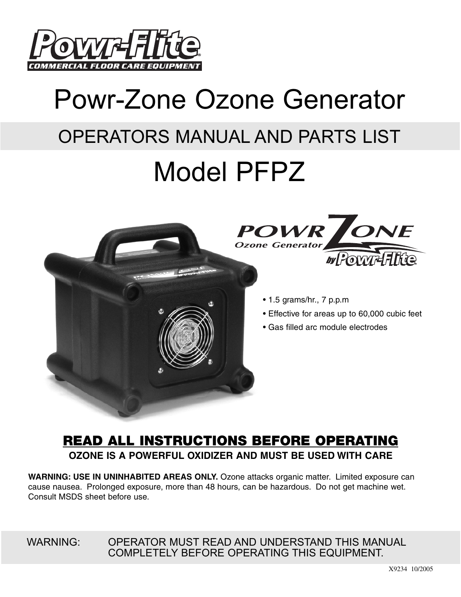

# Powr-Zone Ozone Generator OPERATORS MANUAL AND PARTS LIST

## Model PFPZ





- 1.5 grams/hr., 7 p.p.m
- Effective for areas up to 60,000 cubic feet
- Gas filled arc module electrodes

## **READ ALL INSTRUCTIONS BEFORE OPERATING OZONE IS A POWERFUL OXIDIZER AND MUST BE USED WITH CARE**

**WARNING: USE IN UNINHABITED AREAS ONLY.** Ozone attacks organic matter. Limited exposure can cause nausea. Prolonged exposure, more than 48 hours, can be hazardous. Do not get machine wet. Consult MSDS sheet before use.

WARNING: OPERATOR MUST READ AND UNDERSTAND THIS MANUAL COMPLETELY BEFORE OPERATING THIS EQUIPMENT.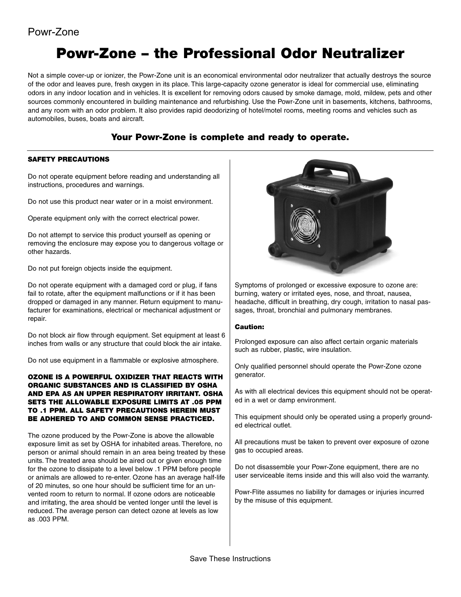## **Powr-Zone – the Professional Odor Neutralizer**

Not a simple cover-up or ionizer, the Powr-Zone unit is an economical environmental odor neutralizer that actually destroys the source of the odor and leaves pure, fresh oxygen in its place. This large-capacity ozone generator is ideal for commercial use, eliminating odors in any indoor location and in vehicles. It is excellent for removing odors caused by smoke damage, mold, mildew, pets and other sources commonly encountered in building maintenance and refurbishing. Use the Powr-Zone unit in basements, kitchens, bathrooms, and any room with an odor problem. It also provides rapid deodorizing of hotel/motel rooms, meeting rooms and vehicles such as automobiles, buses, boats and aircraft.

#### **Your Powr-Zone is complete and ready to operate.**

#### **SAFETY PRECAUTIONS**

Do not operate equipment before reading and understanding all instructions, procedures and warnings.

Do not use this product near water or in a moist environment.

Operate equipment only with the correct electrical power.

Do not attempt to service this product yourself as opening or removing the enclosure may expose you to dangerous voltage or other hazards.

Do not put foreign objects inside the equipment.

Do not operate equipment with a damaged cord or plug, if fans fail to rotate, after the equipment malfunctions or if it has been dropped or damaged in any manner. Return equipment to manufacturer for examinations, electrical or mechanical adjustment or repair.

Do not block air flow through equipment. Set equipment at least 6 inches from walls or any structure that could block the air intake.

Do not use equipment in a flammable or explosive atmosphere.

#### **OZONE IS A POWERFUL OXIDIZER THAT REACTS WITH ORGANIC SUBSTANCES AND IS CLASSIFIED BY OSHA AND EPA AS AN UPPER RESPIRATORY IRRITANT. OSHA SETS THE ALLOWABLE EXPOSURE LIMITS AT .05 PPM TO .1 PPM. ALL SAFETY PRECAUTIONS HEREIN MUST BE ADHERED TO AND COMMON SENSE PRACTICED.**

The ozone produced by the Powr-Zone is above the allowable exposure limit as set by OSHA for inhabited areas. Therefore, no person or animal should remain in an area being treated by these units. The treated area should be aired out or given enough time for the ozone to dissipate to a level below .1 PPM before people or animals are allowed to re-enter. Ozone has an average half-life of 20 minutes, so one hour should be sufficient time for an unvented room to return to normal. If ozone odors are noticeable and irritating, the area should be vented longer until the level is reduced. The average person can detect ozone at levels as low as .003 PPM.



Symptoms of prolonged or excessive exposure to ozone are: burning, watery or irritated eyes, nose, and throat, nausea, headache, difficult in breathing, dry cough, irritation to nasal passages, throat, bronchial and pulmonary membranes.

#### **Caution:**

Prolonged exposure can also affect certain organic materials such as rubber, plastic, wire insulation.

Only qualified personnel should operate the Powr-Zone ozone generator.

As with all electrical devices this equipment should not be operated in a wet or damp environment.

This equipment should only be operated using a properly grounded electrical outlet.

All precautions must be taken to prevent over exposure of ozone gas to occupied areas.

Do not disassemble your Powr-Zone equipment, there are no user serviceable items inside and this will also void the warranty.

Powr-Flite assumes no liability for damages or injuries incurred by the misuse of this equipment.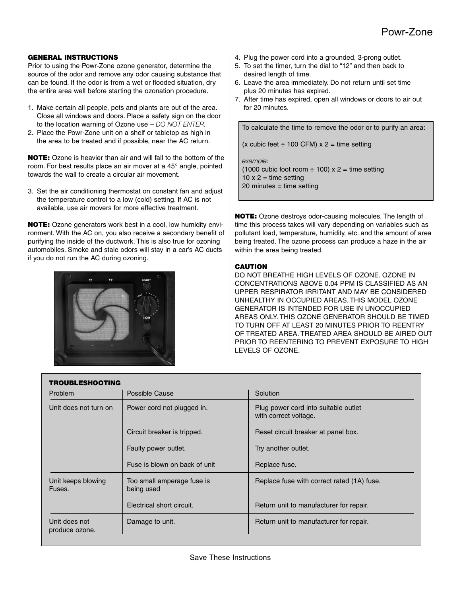#### **GENERAL INSTRUCTIONS**

Prior to using the Powr-Zone ozone generator, determine the source of the odor and remove any odor causing substance that can be found. If the odor is from a wet or flooded situation, dry the entire area well before starting the ozonation procedure.

- 1. Make certain all people, pets and plants are out of the area. Close all windows and doors. Place a safety sign on the door to the location warning of Ozone use – *DO NOT ENTER.*
- 2. Place the Powr-Zone unit on a shelf or tabletop as high in the area to be treated and if possible, near the AC return.

**NOTE:** Ozone is heavier than air and will fall to the bottom of the room. For best results place an air mover at a 45° angle, pointed towards the wall to create a circular air movement.

3. Set the air conditioning thermostat on constant fan and adjust the temperature control to a low (cold) setting. If AC is not available, use air movers for more effective treatment.

**NOTE:** Ozone generators work best in a cool, low humidity environment. With the AC on, you also receive a secondary benefit of purifying the inside of the ductwork. This is also true for ozoning automobiles. Smoke and stale odors will stay in a car's AC ducts if you do not run the AC during ozoning.



- 4. Plug the power cord into a grounded, 3-prong outlet.
- 5. To set the timer, turn the dial to "12" and then back to desired length of time.
- 6. Leave the area immediately. Do not return until set time plus 20 minutes has expired.
- 7. After time has expired, open all windows or doors to air out for 20 minutes.

To calculate the time to remove the odor or to purify an area:

(x cubic feet  $\div$  100 CFM) x 2 = time setting

*example:* (1000 cubic foot room  $\div$  100) x 2 = time setting  $10 \times 2 = \text{time setting}$ 20 minutes = time setting

**NOTE:** Ozone destroys odor-causing molecules. The length of time this process takes will vary depending on variables such as pollutant load, temperature, humidity, etc. and the amount of area being treated. The ozone process can produce a haze in the air within the area being treated.

#### **CAUTION**

DO NOT BREATHE HIGH LEVELS OF OZONE. OZONE IN CONCENTRATIONS ABOVE 0.04 PPM IS CLASSIFIED AS AN UPPER RESPIRATOR IRRITANT AND MAY BE CONSIDERED UNHEALTHY IN OCCUPIED AREAS. THIS MODEL OZONE GENERATOR IS INTENDED FOR USE IN UNOCCUPIED AREAS ONLY. THIS OZONE GENERATOR SHOULD BE TIMED TO TURN OFF AT LEAST 20 MINUTES PRIOR TO REENTRY OF TREATED AREA. TREATED AREA SHOULD BE AIRED OUT PRIOR TO REENTERING TO PREVENT EXPOSURE TO HIGH LEVELS OF OZONE.

| <b>TROUBLESHOOTING</b>          |                                          |                                                               |
|---------------------------------|------------------------------------------|---------------------------------------------------------------|
| <b>Problem</b>                  | Possible Cause                           | Solution                                                      |
| Unit does not turn on           | Power cord not plugged in.               | Plug power cord into suitable outlet<br>with correct voltage. |
|                                 | Circuit breaker is tripped.              | Reset circuit breaker at panel box.                           |
|                                 | Faulty power outlet.                     | Try another outlet.                                           |
|                                 | Fuse is blown on back of unit            | Replace fuse.                                                 |
| Unit keeps blowing<br>Fuses.    | Too small amperage fuse is<br>being used | Replace fuse with correct rated (1A) fuse.                    |
|                                 | Electrical short circuit.                | Return unit to manufacturer for repair.                       |
| Unit does not<br>produce ozone. | Damage to unit.                          | Return unit to manufacturer for repair.                       |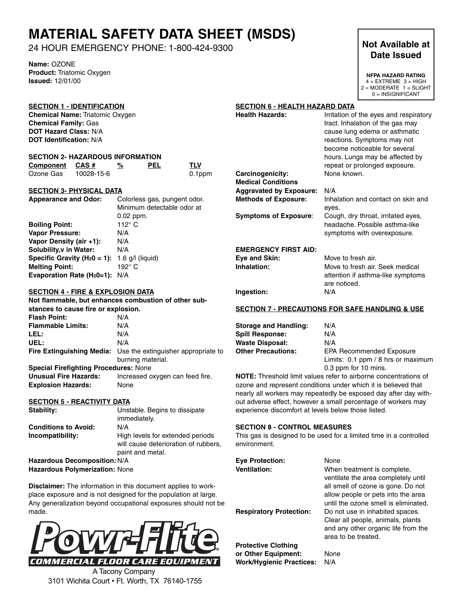## **MATERIAL SAFETY DATA SHEET (MSDS)**

24 HOUR EMERGENCY PHONE: 1-800-424-9300

**Name:** OZONE **Product:** Triatomic Oxygen **Issued:** 12/01/00

#### **SECTION 1 - IDENTIFICATION**

**Chemical Name:** Triatomic Oxygen **Chemical Family:** Gas **DOT Hazard Class:** N/A **DOT Identification:** N/A

#### **SECTION 2- HAZARDOUS INFORMATION**

| Component CAS# |            | % | <b>PEL</b> | <b>TLV</b> |
|----------------|------------|---|------------|------------|
| Ozone Gas      | 10028-15-6 |   |            | 0.1ppm     |

#### **SECTION 3- PHYSICAL DATA**

| <b>Appearance and Odor:</b>      | Colorless gas, pungent odor. |
|----------------------------------|------------------------------|
|                                  | Minimum detectable odor at   |
|                                  | $0.02$ ppm.                  |
| <b>Boiling Point:</b>            | 112 $\degree$ C              |
| <b>Vapor Pressure:</b>           | N/A                          |
| Vapor Density (air +1):          | N/A                          |
| Solubility, v in Water:          | N/A                          |
| Specific Gravity ( $H_20 = 1$ ): | $1.6$ g/l (liquid)           |
| <b>Melting Point:</b>            | 192° C                       |
| Evaporation Rate $(H20=1)$ : N/A |                              |

#### **SECTION 4 - FIRE & EXPLOSION DATA**

|                                              | Not flammable, but enhances combustion of other sub-                 |
|----------------------------------------------|----------------------------------------------------------------------|
| stances to cause fire or explosion.          |                                                                      |
| <b>Flash Point:</b>                          | N/A                                                                  |
| <b>Flammable Limits:</b>                     | N/A                                                                  |
| LEL:                                         | N/A                                                                  |
| UEL:                                         | N/A                                                                  |
|                                              | <b>Fire Extinguishing Media:</b> Use the extinguisher appropriate to |
|                                              | burning material.                                                    |
| <b>Special Firefighting Procedures: None</b> |                                                                      |
| Unusual Fire Hazards:                        | Increased oxygen can feed fire.                                      |
| <b>Explosion Hazards:</b>                    | None                                                                 |

#### **SECTION 5 - REACTIVITY DATA**

| Stability:                            | Unstable. Begins to dissipate                                                                |
|---------------------------------------|----------------------------------------------------------------------------------------------|
|                                       | immediately.                                                                                 |
| <b>Conditions to Avoid:</b>           | N/A                                                                                          |
| Incompatibility:                      | High levels for extended periods<br>will cause deterioration of rubbers.<br>paint and metal. |
| Hazardous Decomposition: N/A          |                                                                                              |
| <b>Hazardous Polymerization: None</b> |                                                                                              |

**Disclaimer:** The information in this document applies to workplace exposure and is not designed for the population at large. Any generalization beyond occupational exposures should not be made.



A Tacony Company 3101 Wichita Court • Ft. Worth, TX 76140-1755

## **Date Issued**

**NFPA HAZARD RATING**  $4 = EXTREME$  3 = HIGH  $2 = MODERATE$  1 = SLIGHT 0 = INSIGNIFICANT

#### **SECTION 6 - HEALTH HAZARD DATA**

| <b>Health Hazards:</b>                                                                        | Irritation of the eyes and respiratory<br>tract. Inhalation of the gas may<br>cause lung edema or asthmatic<br>reactions. Symptoms may not<br>become noticeable for several<br>hours. Lungs may be affected by<br>repeat or prolonged exposure. |
|-----------------------------------------------------------------------------------------------|-------------------------------------------------------------------------------------------------------------------------------------------------------------------------------------------------------------------------------------------------|
| Carcinogenicity:<br><b>Medical Conditions</b>                                                 | None known.                                                                                                                                                                                                                                     |
| <b>Aggravated by Exposure:</b><br><b>Methods of Exposure:</b><br><b>Symptoms of Exposure:</b> | N/A<br>Inhalation and contact on skin and<br>eyes.<br>Cough, dry throat, irritated eyes,<br>headache. Possible asthma-like<br>symptoms with overexposure.                                                                                       |
| <b>EMERGENCY FIRST AID:</b><br>Eye and Skin:<br>Inhalation:                                   | Move to fresh air.<br>Move to fresh air. Seek medical<br>attention if asthma-like symptoms<br>are noticed.                                                                                                                                      |
| Ingestion:                                                                                    | N/A                                                                                                                                                                                                                                             |

#### **SECTION 7 - PRECAUTIONS FOR SAFE HANDLING & USE**

| <b>Storage and Handling:</b> | N/A                                |
|------------------------------|------------------------------------|
| <b>Spill Response:</b>       | N/A                                |
| <b>Waste Disposal:</b>       | N/A                                |
| <b>Other Precautions:</b>    | <b>EPA Recommended Exposure</b>    |
|                              | Limits: 0.1 ppm / 8 hrs or maximum |
|                              | 0.3 ppm for 10 mins.               |

**NOTE:** Threshold limit values refer to airborne concentrations of ozone and represent conditions under which it is believed that nearly all workers may repeatedly be exposed day after day without adverse effect, however a small percentage of workers may experience discomfort at levels below those listed.

#### **SECTION 8 - CONTROL MEASURES**

This gas is designed to be used for a limited time in a controlled environment.

| <b>Eve Protection:</b>         | None                                                                                                          |
|--------------------------------|---------------------------------------------------------------------------------------------------------------|
| <b>Ventilation:</b>            | When treatment is complete,<br>ventilate the area completely until<br>all smell of ozone is gone. Do not      |
| <b>Respiratory Protection:</b> | allow people or pets into the area<br>until the ozone smell is eliminated.<br>Do not use in inhabited spaces. |
|                                | Clear all people, animals, plants<br>and any other organic life from the<br>area to be treated.               |
| Protective Clothina            |                                                                                                               |

**Protective Clothing or Other Equipment:** None **Work/Hygienic Practices:** N/A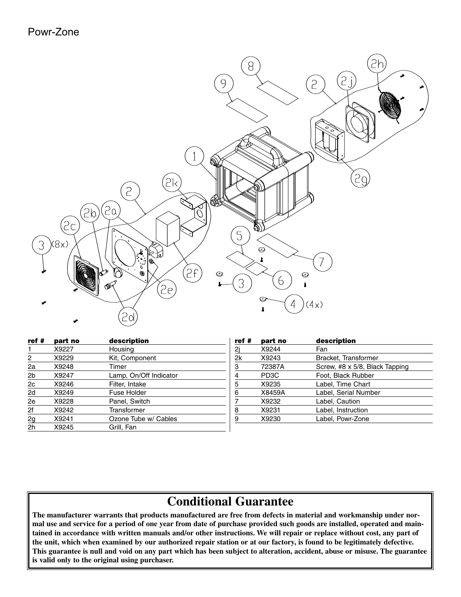

| ref#           | part no | description            |
|----------------|---------|------------------------|
|                | X9227   | Housing                |
| 2              | X9229   | Kit, Component         |
| 2a             | X9248   | Timer                  |
| 2b             | X9247   | Lamp, On/Off Indicator |
| 2c             | X9246   | Filter, Intake         |
| 2d             | X9249   | Fuse Holder            |
| 2e             | X9228   | Panel, Switch          |
| 2f             | X9242   | Transformer            |
| 2g             | X9241   | Ozone Tube w/ Cables   |
| 2 <sub>h</sub> | X9245   | Grill, Fan             |

| part no           | description                    |
|-------------------|--------------------------------|
| X9244             | Fan                            |
| X9243             | Bracket, Transformer           |
| 72387A            | Screw, #8 x 5/8, Black Tapping |
| PD <sub>3</sub> C | Foot, Black Rubber             |
| X9235             | Label, Time Chart              |
| X8459A            | Label, Serial Number           |
| X9232             | Label, Caution                 |
| X9231             | Label, Instruction             |
| X9230             | Label, Powr-Zone               |
|                   |                                |

### **Conditional Guarantee**

**The manufacturer warrants that products manufactured are free from defects in material and workmanship under normal use and service for a period of one year from date of purchase provided such goods are installed, operated and maintained in accordance with written manuals and/or other instructions. We will repair or replace without cost, any part of the unit, which when examined by our authorized repair station or at our factory, is found to be legitimately defective. This guarantee is null and void on any part which has been subject to alteration, accident, abuse or misuse. The guarantee is valid only to the original using purchaser.**